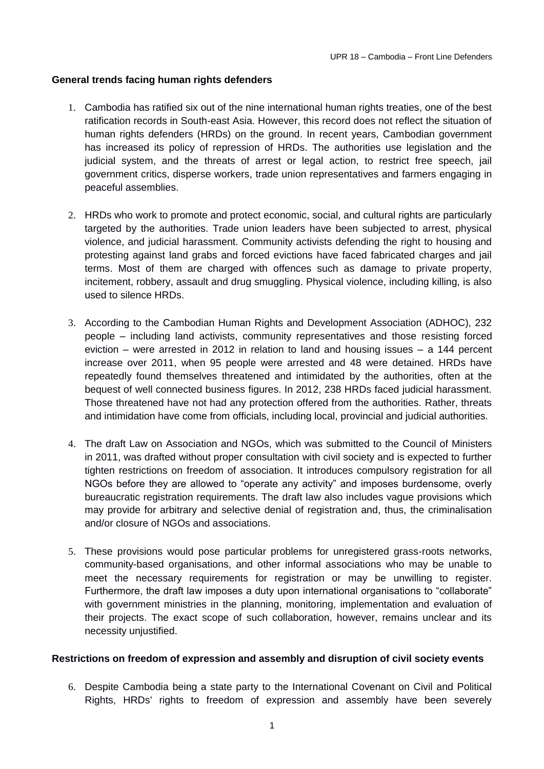### **General trends facing human rights defenders**

- 1. Cambodia has ratified six out of the nine international human rights treaties, one of the best ratification records in South-east Asia. However, this record does not reflect the situation of human rights defenders (HRDs) on the ground. In recent years, Cambodian government has increased its policy of repression of HRDs. The authorities use legislation and the judicial system, and the threats of arrest or legal action, to restrict free speech, jail government critics, disperse workers, trade union representatives and farmers engaging in peaceful assemblies.
- 2. HRDs who work to promote and protect economic, social, and cultural rights are particularly targeted by the authorities. Trade union leaders have been subjected to arrest, physical violence, and judicial harassment. Community activists defending the right to housing and protesting against land grabs and forced evictions have faced fabricated charges and jail terms. Most of them are charged with offences such as damage to private property, incitement, robbery, assault and drug smuggling. Physical violence, including killing, is also used to silence HRDs.
- 3. According to the Cambodian Human Rights and Development Association (ADHOC), 232 people – including land activists, community representatives and those resisting forced eviction – were arrested in 2012 in relation to land and housing issues – a 144 percent increase over 2011, when 95 people were arrested and 48 were detained. HRDs have repeatedly found themselves threatened and intimidated by the authorities, often at the bequest of well connected business figures. In 2012, 238 HRDs faced judicial harassment. Those threatened have not had any protection offered from the authorities. Rather, threats and intimidation have come from officials, including local, provincial and judicial authorities.
- 4. The draft Law on Association and NGOs, which was submitted to the Council of Ministers in 2011, was drafted without proper consultation with civil society and is expected to further tighten restrictions on freedom of association. It introduces compulsory registration for all NGOs before they are allowed to "operate any activity" and imposes burdensome, overly bureaucratic registration requirements. The draft law also includes vague provisions which may provide for arbitrary and selective denial of registration and, thus, the criminalisation and/or closure of NGOs and associations.
- 5. These provisions would pose particular problems for unregistered grass-roots networks, community-based organisations, and other informal associations who may be unable to meet the necessary requirements for registration or may be unwilling to register. Furthermore, the draft law imposes a duty upon international organisations to "collaborate" with government ministries in the planning, monitoring, implementation and evaluation of their projects. The exact scope of such collaboration, however, remains unclear and its necessity unjustified.

#### **Restrictions on freedom of expression and assembly and disruption of civil society events**

6. Despite Cambodia being a state party to the International Covenant on Civil and Political Rights, HRDs' rights to freedom of expression and assembly have been severely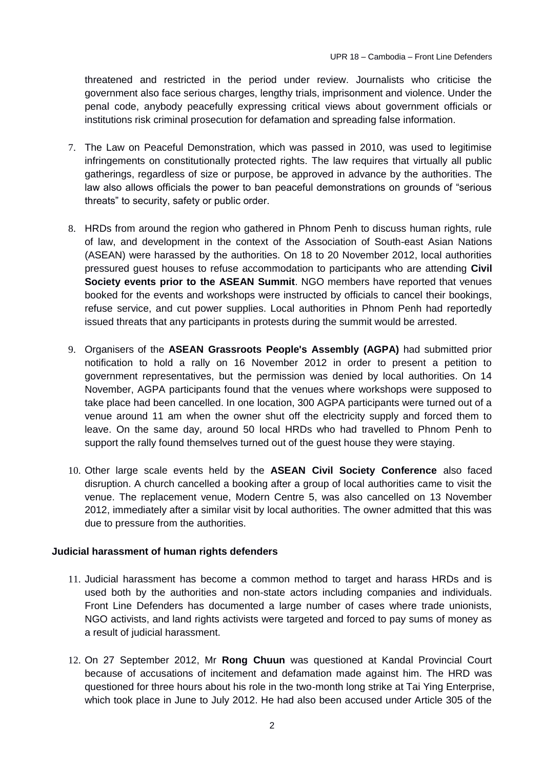threatened and restricted in the period under review. Journalists who criticise the government also face serious charges, lengthy trials, imprisonment and violence. Under the penal code, anybody peacefully expressing critical views about government officials or institutions risk criminal prosecution for defamation and spreading false information.

- 7. The Law on Peaceful Demonstration, which was passed in 2010, was used to legitimise infringements on constitutionally protected rights. The law requires that virtually all public gatherings, regardless of size or purpose, be approved in advance by the authorities. The law also allows officials the power to ban peaceful demonstrations on grounds of "serious threats" to security, safety or public order.
- 8. HRDs from around the region who gathered in Phnom Penh to discuss human rights, rule of law, and development in the context of the Association of South-east Asian Nations (ASEAN) were harassed by the authorities. On 18 to 20 November 2012, local authorities pressured guest houses to refuse accommodation to participants who are attending **Civil Society events prior to the ASEAN Summit**. NGO members have reported that venues booked for the events and workshops were instructed by officials to cancel their bookings, refuse service, and cut power supplies. Local authorities in Phnom Penh had reportedly issued threats that any participants in protests during the summit would be arrested.
- 9. Organisers of the **ASEAN Grassroots People's Assembly (AGPA)** had submitted prior notification to hold a rally on 16 November 2012 in order to present a petition to government representatives, but the permission was denied by local authorities. On 14 November, AGPA participants found that the venues where workshops were supposed to take place had been cancelled. In one location, 300 AGPA participants were turned out of a venue around 11 am when the owner shut off the electricity supply and forced them to leave. On the same day, around 50 local HRDs who had travelled to Phnom Penh to support the rally found themselves turned out of the guest house they were staying.
- 10. Other large scale events held by the **ASEAN Civil Society Conference** also faced disruption. A church cancelled a booking after a group of local authorities came to visit the venue. The replacement venue, Modern Centre 5, was also cancelled on 13 November 2012, immediately after a similar visit by local authorities. The owner admitted that this was due to pressure from the authorities.

#### **Judicial harassment of human rights defenders**

- 11. Judicial harassment has become a common method to target and harass HRDs and is used both by the authorities and non-state actors including companies and individuals. Front Line Defenders has documented a large number of cases where trade unionists, NGO activists, and land rights activists were targeted and forced to pay sums of money as a result of judicial harassment.
- 12. On 27 September 2012, Mr **Rong Chuun** was questioned at Kandal Provincial Court because of accusations of incitement and defamation made against him. The HRD was questioned for three hours about his role in the two-month long strike at Tai Ying Enterprise, which took place in June to July 2012. He had also been accused under Article 305 of the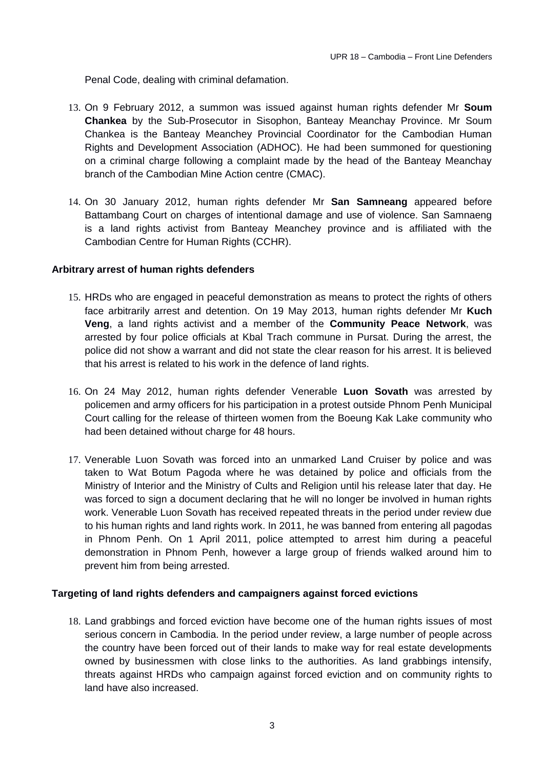Penal Code, dealing with criminal defamation.

- 13. On 9 February 2012, a summon was issued against human rights defender Mr **Soum Chankea** by the Sub-Prosecutor in Sisophon, Banteay Meanchay Province. Mr Soum Chankea is the Banteay Meanchey Provincial Coordinator for the Cambodian Human Rights and Development Association (ADHOC). He had been summoned for questioning on a criminal charge following a complaint made by the head of the Banteay Meanchay branch of the Cambodian Mine Action centre (CMAC).
- 14. On 30 January 2012, human rights defender Mr **San Samneang** appeared before Battambang Court on charges of intentional damage and use of violence. San Samnaeng is a land rights activist from Banteay Meanchey province and is affiliated with the Cambodian Centre for Human Rights (CCHR).

#### **Arbitrary arrest of human rights defenders**

- 15. HRDs who are engaged in peaceful demonstration as means to protect the rights of others face arbitrarily arrest and detention. On 19 May 2013, human rights defender Mr **Kuch Veng**, a land rights activist and a member of the **Community Peace Network**, was arrested by four police officials at Kbal Trach commune in Pursat. During the arrest, the police did not show a warrant and did not state the clear reason for his arrest. It is believed that his arrest is related to his work in the defence of land rights.
- 16. On 24 May 2012, human rights defender Venerable **Luon Sovath** was arrested by policemen and army officers for his participation in a protest outside Phnom Penh Municipal Court calling for the release of thirteen women from the Boeung Kak Lake community who had been detained without charge for 48 hours.
- 17. Venerable Luon Sovath was forced into an unmarked Land Cruiser by police and was taken to Wat Botum Pagoda where he was detained by police and officials from the Ministry of Interior and the Ministry of Cults and Religion until his release later that day. He was forced to sign a document declaring that he will no longer be involved in human rights work. Venerable Luon Sovath has received repeated threats in the period under review due to his human rights and land rights work. In 2011, he was banned from entering all pagodas in Phnom Penh. On 1 April 2011, police attempted to arrest him during a peaceful demonstration in Phnom Penh, however a large group of friends walked around him to prevent him from being arrested.

#### **Targeting of land rights defenders and campaigners against forced evictions**

18. Land grabbings and forced eviction have become one of the human rights issues of most serious concern in Cambodia. In the period under review, a large number of people across the country have been forced out of their lands to make way for real estate developments owned by businessmen with close links to the authorities. As land grabbings intensify, threats against HRDs who campaign against forced eviction and on community rights to land have also increased.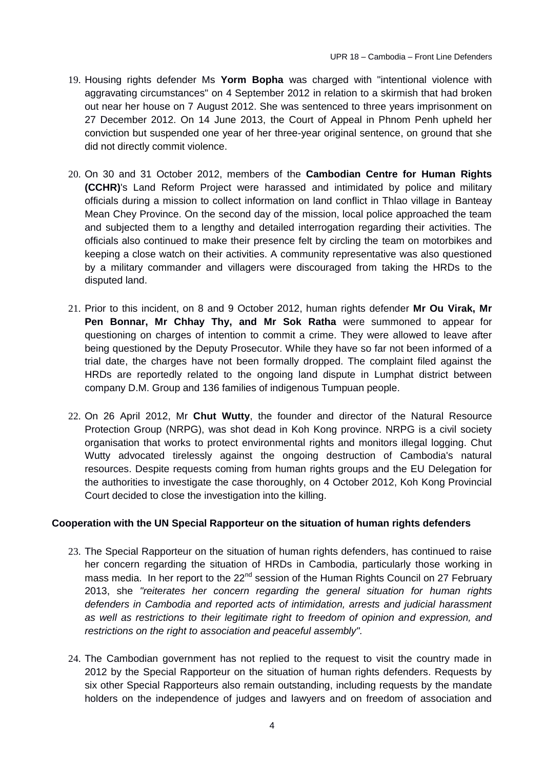- 19. Housing rights defender Ms **Yorm Bopha** was charged with "intentional violence with aggravating circumstances" on 4 September 2012 in relation to a skirmish that had broken out near her house on 7 August 2012. She was sentenced to three years imprisonment on 27 December 2012. On 14 June 2013, the Court of Appeal in Phnom Penh upheld her conviction but suspended one year of her three-year original sentence, on ground that she did not directly commit violence.
- 20. On 30 and 31 October 2012, members of the **Cambodian Centre for Human Rights (CCHR)**'s Land Reform Project were harassed and intimidated by police and military officials during a mission to collect information on land conflict in Thlao village in Banteay Mean Chey Province. On the second day of the mission, local police approached the team and subjected them to a lengthy and detailed interrogation regarding their activities. The officials also continued to make their presence felt by circling the team on motorbikes and keeping a close watch on their activities. A community representative was also questioned by a military commander and villagers were discouraged from taking the HRDs to the disputed land.
- 21. Prior to this incident, on 8 and 9 October 2012, human rights defender **Mr Ou Virak, Mr Pen Bonnar, Mr Chhay Thy, and Mr Sok Ratha** were summoned to appear for questioning on charges of intention to commit a crime. They were allowed to leave after being questioned by the Deputy Prosecutor. While they have so far not been informed of a trial date, the charges have not been formally dropped. The complaint filed against the HRDs are reportedly related to the ongoing land dispute in Lumphat district between company D.M. Group and 136 families of indigenous Tumpuan people.
- 22. On 26 April 2012, Mr **Chut Wutty**, the founder and director of the Natural Resource Protection Group (NRPG), was shot dead in Koh Kong province. NRPG is a civil society organisation that works to protect environmental rights and monitors illegal logging. Chut Wutty advocated tirelessly against the ongoing destruction of Cambodia's natural resources. Despite requests coming from human rights groups and the EU Delegation for the authorities to investigate the case thoroughly, on 4 October 2012, Koh Kong Provincial Court decided to close the investigation into the killing.

#### **Cooperation with the UN Special Rapporteur on the situation of human rights defenders**

- 23. The Special Rapporteur on the situation of human rights defenders, has continued to raise her concern regarding the situation of HRDs in Cambodia, particularly those working in mass media. In her report to the 22<sup>nd</sup> session of the Human Rights Council on 27 February 2013, she *"reiterates her concern regarding the general situation for human rights defenders in Cambodia and reported acts of intimidation, arrests and judicial harassment as well as restrictions to their legitimate right to freedom of opinion and expression, and restrictions on the right to association and peaceful assembly".*
- 24. The Cambodian government has not replied to the request to visit the country made in 2012 by the Special Rapporteur on the situation of human rights defenders. Requests by six other Special Rapporteurs also remain outstanding, including requests by the mandate holders on the independence of judges and lawyers and on freedom of association and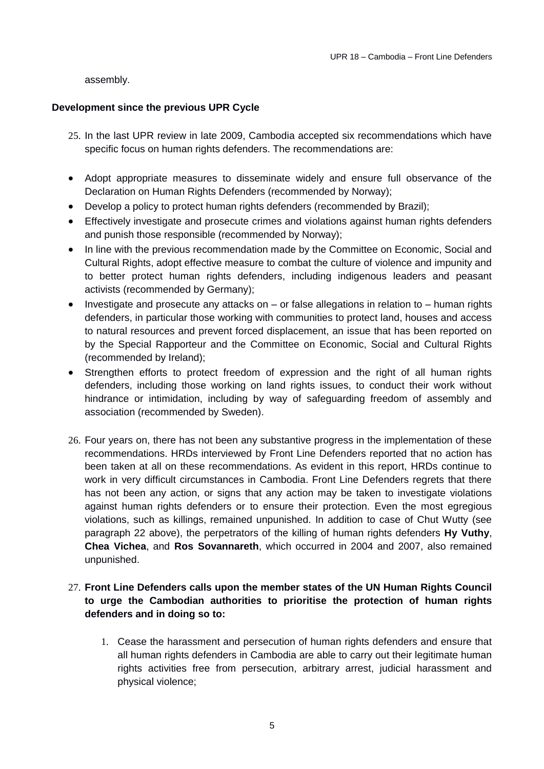assembly.

## **Development since the previous UPR Cycle**

- 25. In the last UPR review in late 2009, Cambodia accepted six recommendations which have specific focus on human rights defenders. The recommendations are:
- Adopt appropriate measures to disseminate widely and ensure full observance of the Declaration on Human Rights Defenders (recommended by Norway);
- Develop a policy to protect human rights defenders (recommended by Brazil);
- Effectively investigate and prosecute crimes and violations against human rights defenders and punish those responsible (recommended by Norway);
- In line with the previous recommendation made by the Committee on Economic, Social and Cultural Rights, adopt effective measure to combat the culture of violence and impunity and to better protect human rights defenders, including indigenous leaders and peasant activists (recommended by Germany);
- $\bullet$  Investigate and prosecute any attacks on or false allegations in relation to human rights defenders, in particular those working with communities to protect land, houses and access to natural resources and prevent forced displacement, an issue that has been reported on by the Special Rapporteur and the Committee on Economic, Social and Cultural Rights (recommended by Ireland);
- Strengthen efforts to protect freedom of expression and the right of all human rights defenders, including those working on land rights issues, to conduct their work without hindrance or intimidation, including by way of safeguarding freedom of assembly and association (recommended by Sweden).
- 26. Four years on, there has not been any substantive progress in the implementation of these recommendations. HRDs interviewed by Front Line Defenders reported that no action has been taken at all on these recommendations. As evident in this report, HRDs continue to work in very difficult circumstances in Cambodia. Front Line Defenders regrets that there has not been any action, or signs that any action may be taken to investigate violations against human rights defenders or to ensure their protection. Even the most egregious violations, such as killings, remained unpunished. In addition to case of Chut Wutty (see paragraph 22 above), the perpetrators of the killing of human rights defenders **Hy Vuthy**, **Chea Vichea**, and **Ros Sovannareth**, which occurred in 2004 and 2007, also remained unpunished.

# 27. **Front Line Defenders calls upon the member states of the UN Human Rights Council to urge the Cambodian authorities to prioritise the protection of human rights defenders and in doing so to:**

1. Cease the harassment and persecution of human rights defenders and ensure that all human rights defenders in Cambodia are able to carry out their legitimate human rights activities free from persecution, arbitrary arrest, judicial harassment and physical violence;